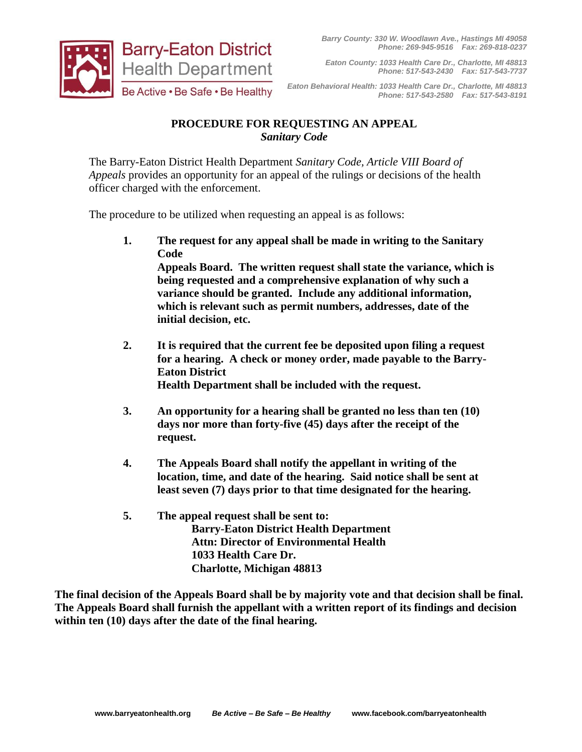

*Eaton County: 1033 Health Care Dr., Charlotte, MI 48813 Phone: 517-543-2430 Fax: 517-543-7737*

*Eaton Behavioral Health: 1033 Health Care Dr., Charlotte, MI 48813 Phone: 517-543-2580 Fax: 517-543-8191*

## **PROCEDURE FOR REQUESTING AN APPEAL** *Sanitary Code*

The Barry-Eaton District Health Department *Sanitary Code, Article VIII Board of Appeals* provides an opportunity for an appeal of the rulings or decisions of the health officer charged with the enforcement.

The procedure to be utilized when requesting an appeal is as follows:

**1. The request for any appeal shall be made in writing to the Sanitary Code Appeals Board. The written request shall state the variance, which is being requested and a comprehensive explanation of why such a variance should be granted. Include any additional information,** 

**which is relevant such as permit numbers, addresses, date of the initial decision, etc.**

- **2. It is required that the current fee be deposited upon filing a request for a hearing. A check or money order, made payable to the Barry-Eaton District Health Department shall be included with the request.**
- **3. An opportunity for a hearing shall be granted no less than ten (10) days nor more than forty-five (45) days after the receipt of the request.**
- **4. The Appeals Board shall notify the appellant in writing of the location, time, and date of the hearing. Said notice shall be sent at least seven (7) days prior to that time designated for the hearing.**
- **5. The appeal request shall be sent to: Barry-Eaton District Health Department Attn: Director of Environmental Health 1033 Health Care Dr. Charlotte, Michigan 48813**

**The final decision of the Appeals Board shall be by majority vote and that decision shall be final. The Appeals Board shall furnish the appellant with a written report of its findings and decision within ten (10) days after the date of the final hearing.**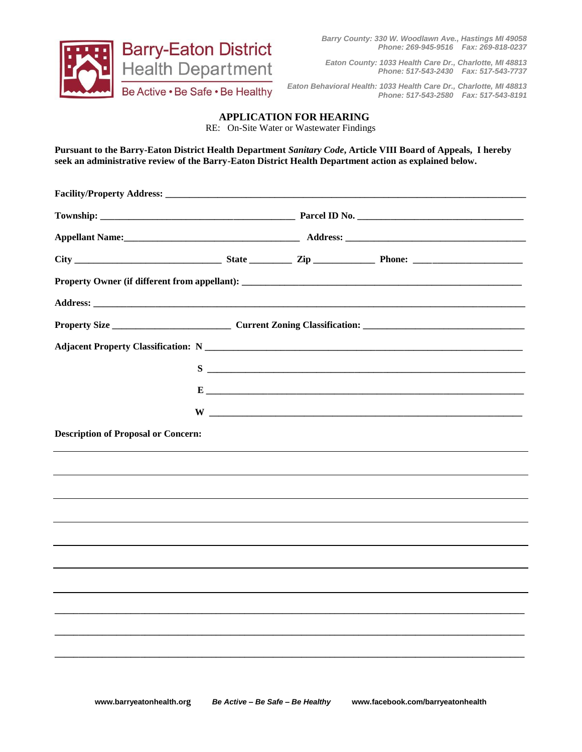

*Barry County: 330 W. Woodlawn Ave., Hastings MI 49058 Phone: 269-945-9516 Fax: 269-818-0237*

*Eaton County: 1033 Health Care Dr., Charlotte, MI 48813 Phone: 517-543-2430 Fax: 517-543-7737*

*Eaton Behavioral Health: 1033 Health Care Dr., Charlotte, MI 48813 Phone: 517-543-2580 Fax: 517-543-8191*

## **APPLICATION FOR HEARING**

RE: On-Site Water or Wastewater Findings

**Pursuant to the Barry-Eaton District Health Department** *Sanitary Code***, Article VIII Board of Appeals, I hereby seek an administrative review of the Barry-Eaton District Health Department action as explained below.**

|                                            |  |  | $E$ $\overline{\phantom{a}}$ |  |  |
|--------------------------------------------|--|--|------------------------------|--|--|
|                                            |  |  |                              |  |  |
| <b>Description of Proposal or Concern:</b> |  |  |                              |  |  |
|                                            |  |  |                              |  |  |
|                                            |  |  |                              |  |  |
|                                            |  |  |                              |  |  |
|                                            |  |  |                              |  |  |
|                                            |  |  |                              |  |  |
|                                            |  |  |                              |  |  |
|                                            |  |  |                              |  |  |
|                                            |  |  |                              |  |  |
|                                            |  |  |                              |  |  |
|                                            |  |  |                              |  |  |